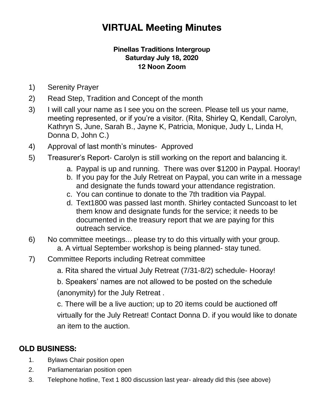# **VIRTUAL Meeting Minutes**

#### **Pinellas Traditions Intergroup Saturday July 18, 2020 12 Noon Zoom**

- 1) Serenity Prayer
- 2) Read Step, Tradition and Concept of the month
- 3) I will call your name as I see you on the screen. Please tell us your name, meeting represented, or if you're a visitor. (Rita, Shirley Q, Kendall, Carolyn, Kathryn S, June, Sarah B., Jayne K, Patricia, Monique, Judy L, Linda H, Donna D, John C.)
- 4) Approval of last month's minutes- Approved
- 5) Treasurer's Report- Carolyn is still working on the report and balancing it.
	- a. Paypal is up and running. There was over \$1200 in Paypal. Hooray!
	- b. If you pay for the July Retreat on Paypal, you can write in a message and designate the funds toward your attendance registration.
	- c. You can continue to donate to the 7th tradition via Paypal.
	- d. Text1800 was passed last month. Shirley contacted Suncoast to let them know and designate funds for the service; it needs to be documented in the treasury report that we are paying for this outreach service.
- 6) No committee meetings... please try to do this virtually with your group. a. A virtual September workshop is being planned- stay tuned.
- 7) Committee Reports including Retreat committee
	- a. Rita shared the virtual July Retreat (7/31-8/2) schedule- Hooray!

b. Speakers' names are not allowed to be posted on the schedule (anonymity) for the July Retreat .

c. There will be a live auction; up to 20 items could be auctioned off virtually for the July Retreat! Contact Donna D. if you would like to donate an item to the auction.

## **OLD BUSINESS:**

- 1. Bylaws Chair position open
- 2. Parliamentarian position open
- 3. Telephone hotline, Text 1 800 discussion last year- already did this (see above)